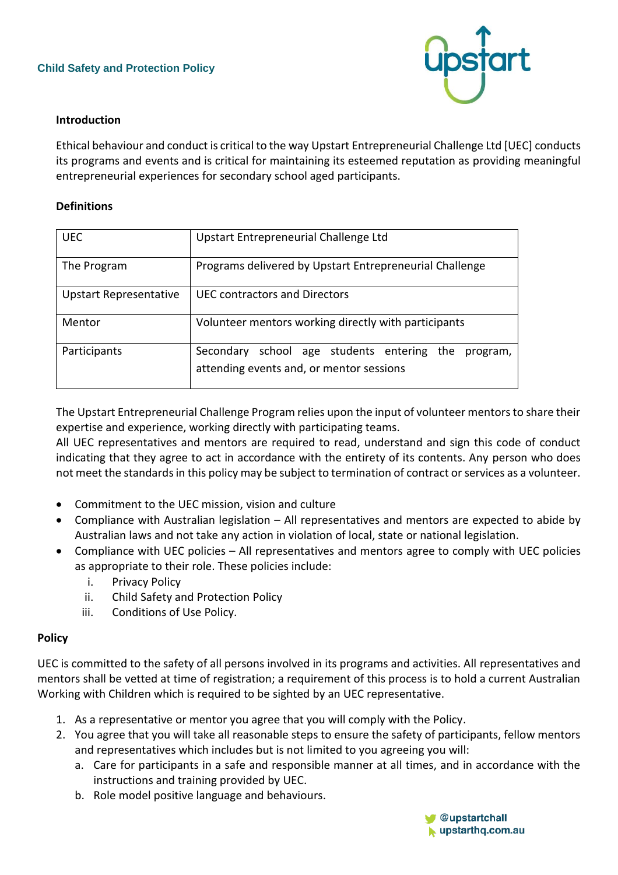

## **Introduction**

Ethical behaviour and conduct is critical to the way Upstart Entrepreneurial Challenge Ltd [UEC] conducts its programs and events and is critical for maintaining its esteemed reputation as providing meaningful entrepreneurial experiences for secondary school aged participants.

## **Definitions**

| <b>UEC</b>                    | Upstart Entrepreneurial Challenge Ltd                                                              |
|-------------------------------|----------------------------------------------------------------------------------------------------|
| The Program                   | Programs delivered by Upstart Entrepreneurial Challenge                                            |
| <b>Upstart Representative</b> | UFC contractors and Directors                                                                      |
| Mentor                        | Volunteer mentors working directly with participants                                               |
| Participants                  | school age students entering the program,<br>Secondary<br>attending events and, or mentor sessions |

The Upstart Entrepreneurial Challenge Program relies upon the input of volunteer mentors to share their expertise and experience, working directly with participating teams.

All UEC representatives and mentors are required to read, understand and sign this code of conduct indicating that they agree to act in accordance with the entirety of its contents. Any person who does not meet the standards in this policy may be subject to termination of contract or services as a volunteer.

- Commitment to the UEC mission, vision and culture
- Compliance with Australian legislation All representatives and mentors are expected to abide by Australian laws and not take any action in violation of local, state or national legislation.
- Compliance with UEC policies All representatives and mentors agree to comply with UEC policies as appropriate to their role. These policies include:
	- i. Privacy Policy
	- ii. Child Safety and Protection Policy
	- iii. Conditions of Use Policy.

## **Policy**

UEC is committed to the safety of all persons involved in its programs and activities. All representatives and mentors shall be vetted at time of registration; a requirement of this process is to hold a current Australian Working with Children which is required to be sighted by an UEC representative.

- 1. As a representative or mentor you agree that you will comply with the Policy.
- 2. You agree that you will take all reasonable steps to ensure the safety of participants, fellow mentors and representatives which includes but is not limited to you agreeing you will:
	- a. Care for participants in a safe and responsible manner at all times, and in accordance with the instructions and training provided by UEC.
	- b. Role model positive language and behaviours.